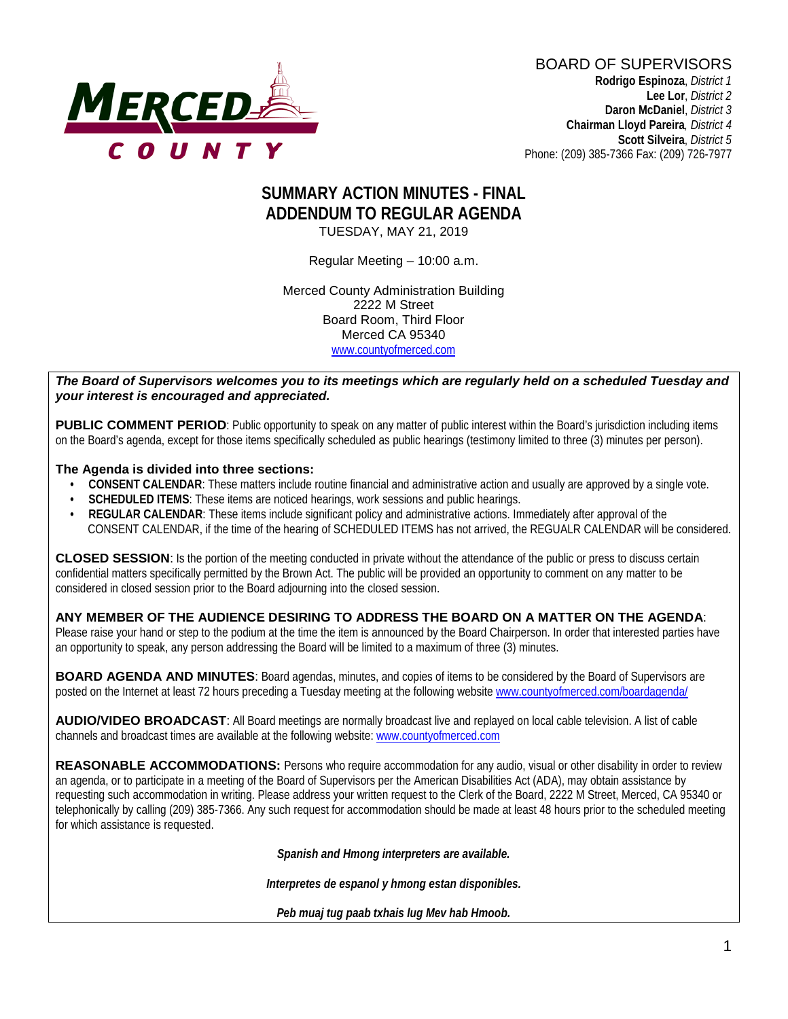

# **SUMMARY ACTION MINUTES - FINAL ADDENDUM TO REGULAR AGENDA** TUESDAY, MAY 21, 2019

Regular Meeting – 10:00 a.m.

Merced County Administration Building 2222 M Street Board Room, Third Floor Merced CA 95340 www.countyofmerced.com

*The Board of Supervisors welcomes you to its meetings which are regularly held on a scheduled Tuesday and your interest is encouraged and appreciated.*

**PUBLIC COMMENT PERIOD**: Public opportunity to speak on any matter of public interest within the Board's jurisdiction including items on the Board's agenda, except for those items specifically scheduled as public hearings (testimony limited to three (3) minutes per person).

#### **The Agenda is divided into three sections:**

- **CONSENT CALENDAR**: These matters include routine financial and administrative action and usually are approved by a single vote.
- **SCHEDULED ITEMS:** These items are noticed hearings, work sessions and public hearings.
- **REGULAR CALENDAR**: These items include significant policy and administrative actions. Immediately after approval of the CONSENT CALENDAR, if the time of the hearing of SCHEDULED ITEMS has not arrived, the REGUALR CALENDAR will be considered.

**CLOSED SESSION**: Is the portion of the meeting conducted in private without the attendance of the public or press to discuss certain confidential matters specifically permitted by the Brown Act. The public will be provided an opportunity to comment on any matter to be considered in closed session prior to the Board adjourning into the closed session.

#### **ANY MEMBER OF THE AUDIENCE DESIRING TO ADDRESS THE BOARD ON A MATTER ON THE AGENDA**:

Please raise your hand or step to the podium at the time the item is announced by the Board Chairperson. In order that interested parties have an opportunity to speak, any person addressing the Board will be limited to a maximum of three (3) minutes.

**BOARD AGENDA AND MINUTES:** Board agendas, minutes, and copies of items to be considered by the Board of Supervisors are posted on the Internet at least 72 hours preceding a Tuesday meeting at the following website [www.countyofmerced.com/boardagenda/](http://www.countyofmerced.com/boardagenda/) 

**AUDIO/VIDEO BROADCAST**: All Board meetings are normally broadcast live and replayed on local cable television. A list of cable channels and broadcast times are available at the following website[: www.countyofmerced.com](http://www.countyofmerced.com/)

**REASONABLE ACCOMMODATIONS:** Persons who require accommodation for any audio, visual or other disability in order to review an agenda, or to participate in a meeting of the Board of Supervisors per the American Disabilities Act (ADA), may obtain assistance by requesting such accommodation in writing. Please address your written request to the Clerk of the Board, 2222 M Street, Merced, CA 95340 or telephonically by calling (209) 385-7366. Any such request for accommodation should be made at least 48 hours prior to the scheduled meeting for which assistance is requested.

*Spanish and Hmong interpreters are available.*

*Interpretes de espanol y hmong estan disponibles.*

*Peb muaj tug paab txhais lug Mev hab Hmoob.*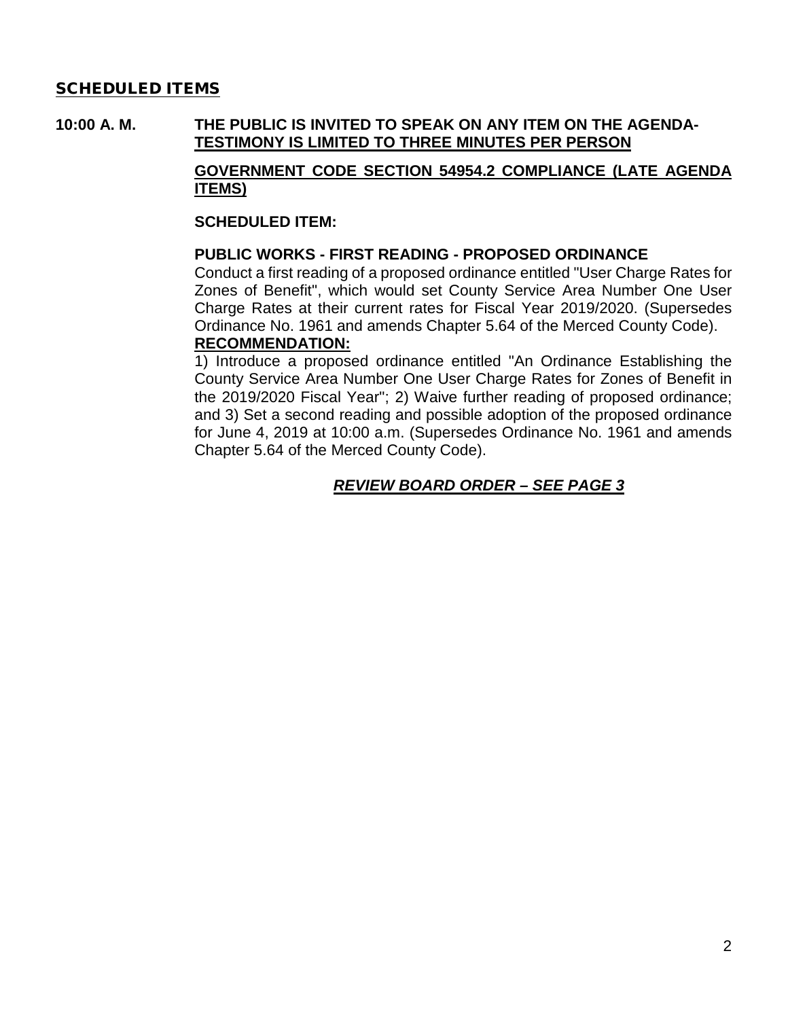## SCHEDULED ITEMS

# **10:00 A. M. THE PUBLIC IS INVITED TO SPEAK ON ANY ITEM ON THE AGENDA-TESTIMONY IS LIMITED TO THREE MINUTES PER PERSON**

## **GOVERNMENT CODE SECTION 54954.2 COMPLIANCE (LATE AGENDA ITEMS)**

#### **SCHEDULED ITEM:**

#### **PUBLIC WORKS - FIRST READING - PROPOSED ORDINANCE**

Conduct a first reading of a proposed ordinance entitled "User Charge Rates for Zones of Benefit", which would set County Service Area Number One User Charge Rates at their current rates for Fiscal Year 2019/2020. (Supersedes Ordinance No. 1961 and amends Chapter 5.64 of the Merced County Code). **RECOMMENDATION:**

1) Introduce a proposed ordinance entitled "An Ordinance Establishing the County Service Area Number One User Charge Rates for Zones of Benefit in the 2019/2020 Fiscal Year"; 2) Waive further reading of proposed ordinance; and 3) Set a second reading and possible adoption of the proposed ordinance for June 4, 2019 at 10:00 a.m. (Supersedes Ordinance No. 1961 and amends Chapter 5.64 of the Merced County Code).

# *REVIEW BOARD ORDER – SEE PAGE 3*